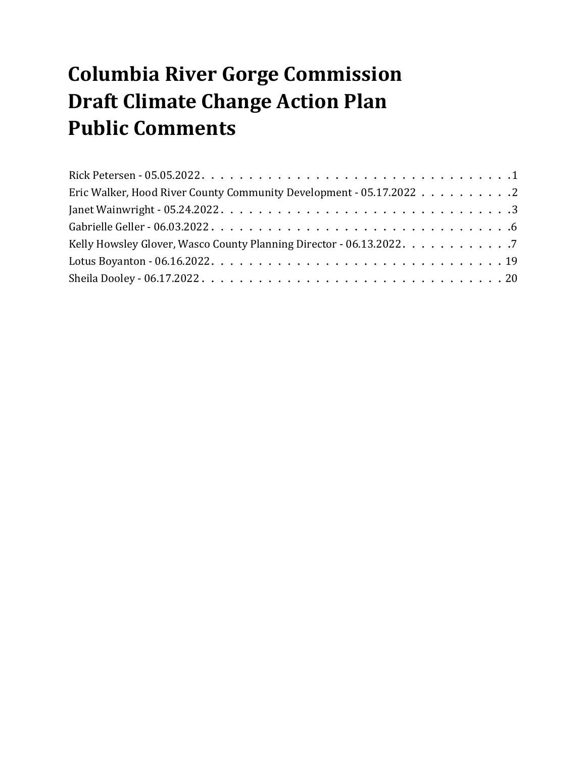# **Columbia River Gorge Commission Draft Climate Change Action Plan Public Comments**

| Eric Walker, Hood River County Community Development - 05.17.2022 2                                                        |  |  |  |  |
|----------------------------------------------------------------------------------------------------------------------------|--|--|--|--|
| Janet Wainwright - 05.24.2022. $\dots \dots \dots \dots \dots \dots \dots \dots \dots \dots \dots \dots \dots \dots \dots$ |  |  |  |  |
|                                                                                                                            |  |  |  |  |
| Kelly Howsley Glover, Wasco County Planning Director - 06.13.2022. 7                                                       |  |  |  |  |
|                                                                                                                            |  |  |  |  |
|                                                                                                                            |  |  |  |  |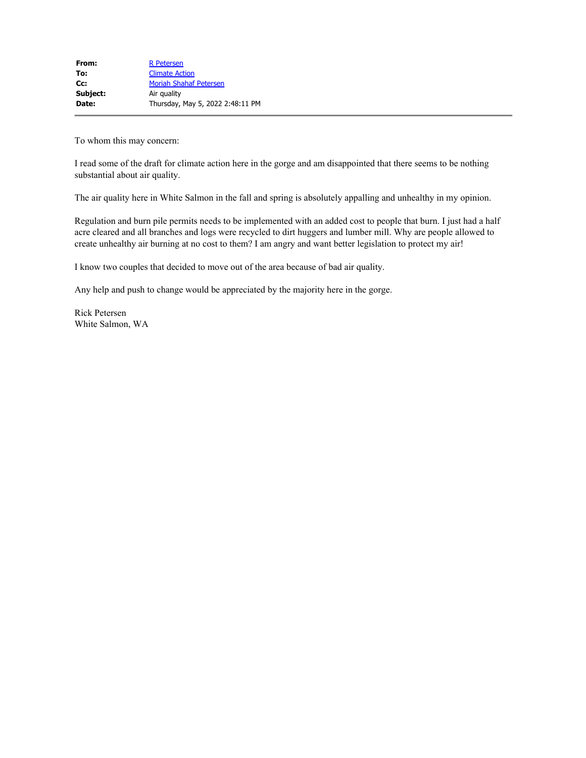<span id="page-1-0"></span>To whom this may concern:

I read some of the draft for climate action here in the gorge and am disappointed that there seems to be nothing substantial about air quality.

The air quality here in White Salmon in the fall and spring is absolutely appalling and unhealthy in my opinion.

Regulation and burn pile permits needs to be implemented with an added cost to people that burn. I just had a half acre cleared and all branches and logs were recycled to dirt huggers and lumber mill. Why are people allowed to create unhealthy air burning at no cost to them? I am angry and want better legislation to protect my air!

I know two couples that decided to move out of the area because of bad air quality.

Any help and push to change would be appreciated by the majority here in the gorge.

Rick Petersen White Salmon, WA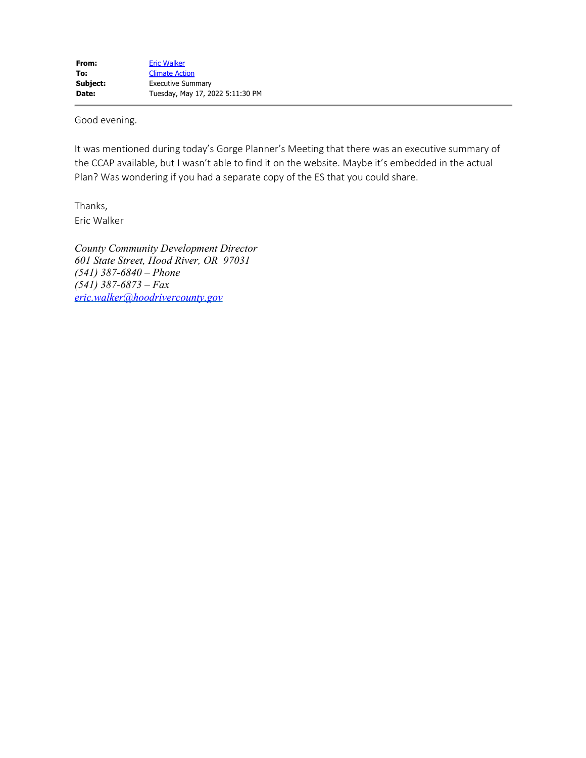<span id="page-2-0"></span>Good evening.

It was mentioned during today's Gorge Planner's Meeting that there was an executive summary of the CCAP available, but I wasn't able to find it on the website. Maybe it's embedded in the actual Plan? Was wondering if you had a separate copy of the ES that you could share.

Thanks, Eric Walker

*County Community Development Director 601 State Street, Hood River, OR 97031 (541) 387-6840 – Phone (541) 387-6873 – Fax [eric.walker@hoodrivercounty.gov](mailto:eric.walker@hoodrivercounty.gov)*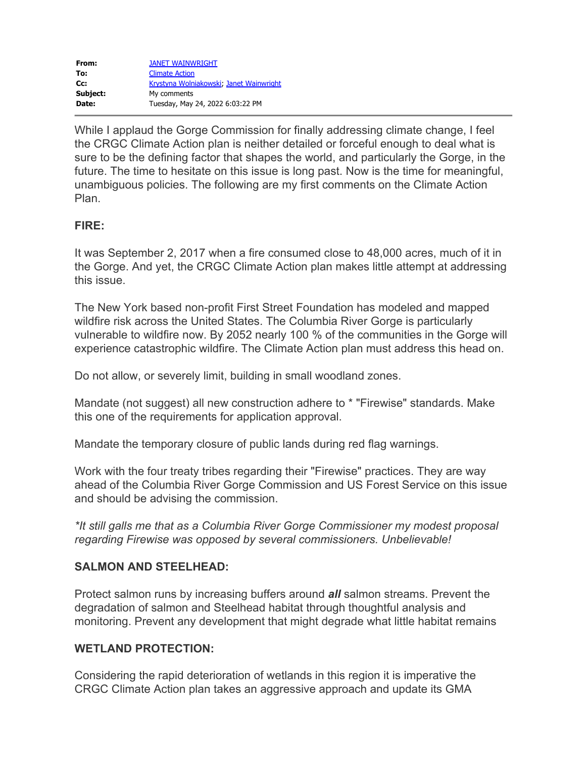<span id="page-3-0"></span>

| From:    | <b>JANET WAINWRIGHT</b>                 |
|----------|-----------------------------------------|
| To:      | <b>Climate Action</b>                   |
| $Cc$ :   | Krystyna Wolniakowski, Janet Wainwright |
| Subject: | My comments                             |
| Date:    | Tuesday, May 24, 2022 6:03:22 PM        |
|          |                                         |

While I applaud the Gorge Commission for finally addressing climate change, I feel the CRGC Climate Action plan is neither detailed or forceful enough to deal what is sure to be the defining factor that shapes the world, and particularly the Gorge, in the future. The time to hesitate on this issue is long past. Now is the time for meaningful, unambiguous policies. The following are my first comments on the Climate Action Plan.

# **FIRE:**

It was September 2, 2017 when a fire consumed close to 48,000 acres, much of it in the Gorge. And yet, the CRGC Climate Action plan makes little attempt at addressing this issue.

The New York based non-profit First Street Foundation has modeled and mapped wildfire risk across the United States. The Columbia River Gorge is particularly vulnerable to wildfire now. By 2052 nearly 100 % of the communities in the Gorge will experience catastrophic wildfire. The Climate Action plan must address this head on.

Do not allow, or severely limit, building in small woodland zones.

Mandate (not suggest) all new construction adhere to \* "Firewise" standards. Make this one of the requirements for application approval.

Mandate the temporary closure of public lands during red flag warnings.

Work with the four treaty tribes regarding their "Firewise" practices. They are way ahead of the Columbia River Gorge Commission and US Forest Service on this issue and should be advising the commission.

*\*It still galls me that as a Columbia River Gorge Commissioner my modest proposal regarding Firewise was opposed by several commissioners. Unbelievable!*

# **SALMON AND STEELHEAD:**

Protect salmon runs by increasing buffers around *all* salmon streams. Prevent the degradation of salmon and Steelhead habitat through thoughtful analysis and monitoring. Prevent any development that might degrade what little habitat remains

# **WETLAND PROTECTION:**

Considering the rapid deterioration of wetlands in this region it is imperative the CRGC Climate Action plan takes an aggressive approach and update its GMA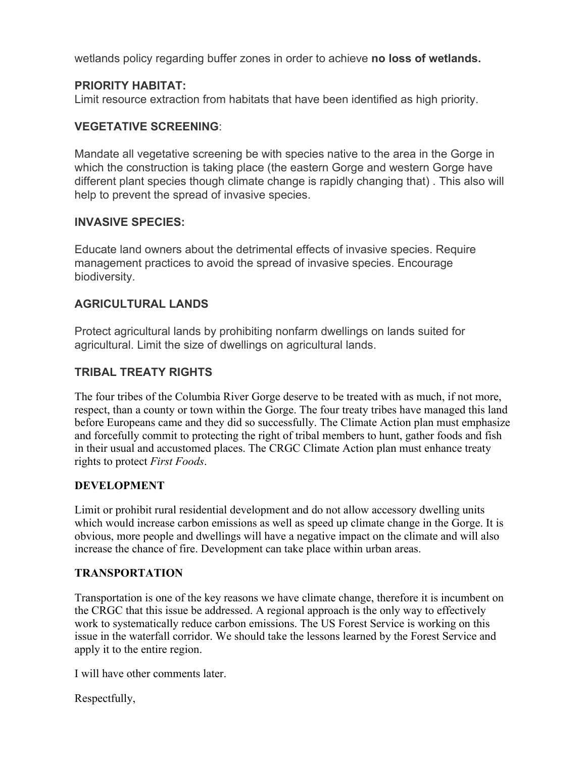wetlands policy regarding buffer zones in order to achieve **no loss of wetlands.**

# **PRIORITY HABITAT:**

Limit resource extraction from habitats that have been identified as high priority.

# **VEGETATIVE SCREENING**:

Mandate all vegetative screening be with species native to the area in the Gorge in which the construction is taking place (the eastern Gorge and western Gorge have different plant species though climate change is rapidly changing that) . This also will help to prevent the spread of invasive species.

# **INVASIVE SPECIES:**

Educate land owners about the detrimental effects of invasive species. Require management practices to avoid the spread of invasive species. Encourage biodiversity.

# **AGRICULTURAL LANDS**

Protect agricultural lands by prohibiting nonfarm dwellings on lands suited for agricultural. Limit the size of dwellings on agricultural lands.

# **TRIBAL TREATY RIGHTS**

The four tribes of the Columbia River Gorge deserve to be treated with as much, if not more, respect, than a county or town within the Gorge. The four treaty tribes have managed this land before Europeans came and they did so successfully. The Climate Action plan must emphasize and forcefully commit to protecting the right of tribal members to hunt, gather foods and fish in their usual and accustomed places. The CRGC Climate Action plan must enhance treaty rights to protect *First Foods*.

# **DEVELOPMENT**

Limit or prohibit rural residential development and do not allow accessory dwelling units which would increase carbon emissions as well as speed up climate change in the Gorge. It is obvious, more people and dwellings will have a negative impact on the climate and will also increase the chance of fire. Development can take place within urban areas.

# **TRANSPORTATION**

Transportation is one of the key reasons we have climate change, therefore it is incumbent on the CRGC that this issue be addressed. A regional approach is the only way to effectively work to systematically reduce carbon emissions. The US Forest Service is working on this issue in the waterfall corridor. We should take the lessons learned by the Forest Service and apply it to the entire region.

I will have other comments later.

Respectfully,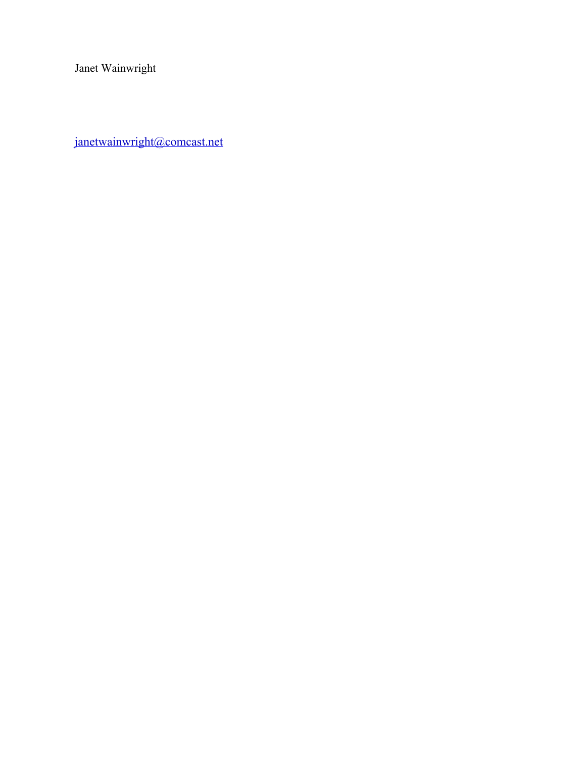Janet Wainwright

[janetwainwright@comcast.net](mailto:janetwainwright@comcast.net)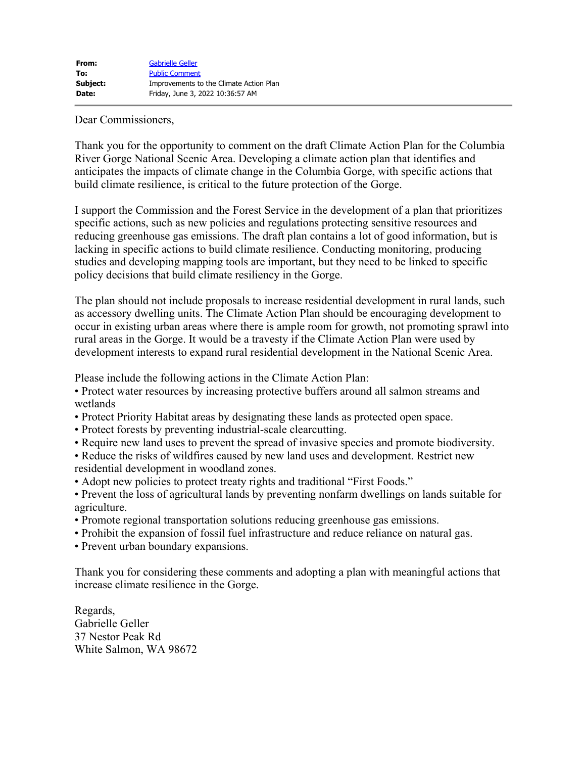<span id="page-6-0"></span>Dear Commissioners,

Thank you for the opportunity to comment on the draft Climate Action Plan for the Columbia River Gorge National Scenic Area. Developing a climate action plan that identifies and anticipates the impacts of climate change in the Columbia Gorge, with specific actions that build climate resilience, is critical to the future protection of the Gorge.

I support the Commission and the Forest Service in the development of a plan that prioritizes specific actions, such as new policies and regulations protecting sensitive resources and reducing greenhouse gas emissions. The draft plan contains a lot of good information, but is lacking in specific actions to build climate resilience. Conducting monitoring, producing studies and developing mapping tools are important, but they need to be linked to specific policy decisions that build climate resiliency in the Gorge.

The plan should not include proposals to increase residential development in rural lands, such as accessory dwelling units. The Climate Action Plan should be encouraging development to occur in existing urban areas where there is ample room for growth, not promoting sprawl into rural areas in the Gorge. It would be a travesty if the Climate Action Plan were used by development interests to expand rural residential development in the National Scenic Area.

Please include the following actions in the Climate Action Plan:

• Protect water resources by increasing protective buffers around all salmon streams and wetlands

- Protect Priority Habitat areas by designating these lands as protected open space.
- Protect forests by preventing industrial-scale clearcutting.
- Require new land uses to prevent the spread of invasive species and promote biodiversity.

• Reduce the risks of wildfires caused by new land uses and development. Restrict new residential development in woodland zones.

• Adopt new policies to protect treaty rights and traditional "First Foods."

- Prevent the loss of agricultural lands by preventing nonfarm dwellings on lands suitable for agriculture.
- Promote regional transportation solutions reducing greenhouse gas emissions.
- Prohibit the expansion of fossil fuel infrastructure and reduce reliance on natural gas.
- Prevent urban boundary expansions.

Thank you for considering these comments and adopting a plan with meaningful actions that increase climate resilience in the Gorge.

Regards, Gabrielle Geller 37 Nestor Peak Rd White Salmon, WA 98672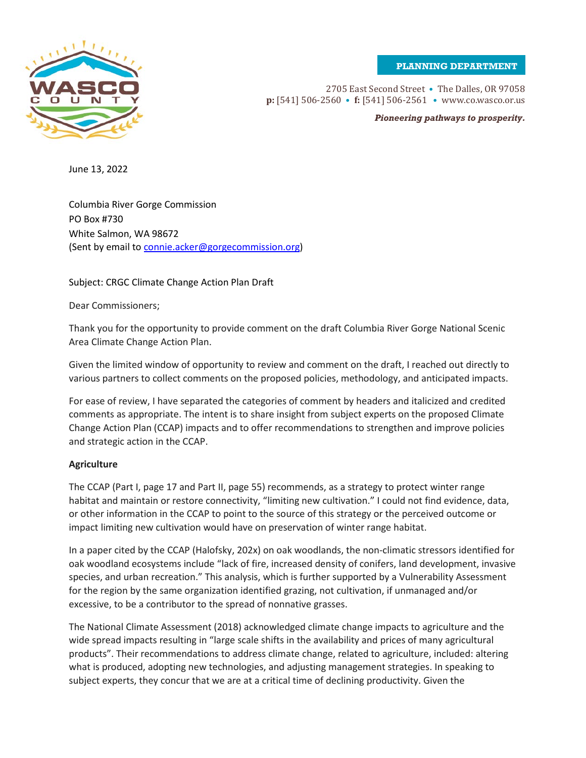**PLANNING DEPARTMENT**

<span id="page-7-0"></span>

2705 East Second Street • The Dalles, OR 97058 **p:** [541] 506-2560 • **f:** [541] 506-2561 • www.co.wasco.or.us

*Pioneering pathways to prosperity.*

June 13, 2022

Columbia River Gorge Commission PO Box #730 White Salmon, WA 98672 (Sent by email to [connie.acker@gorgecommission.org\)](mailto:connie.acker@gorgecommission.org)

Subject: CRGC Climate Change Action Plan Draft

Dear Commissioners;

Thank you for the opportunity to provide comment on the draft Columbia River Gorge National Scenic Area Climate Change Action Plan.

Given the limited window of opportunity to review and comment on the draft, I reached out directly to various partners to collect comments on the proposed policies, methodology, and anticipated impacts.

For ease of review, I have separated the categories of comment by headers and italicized and credited comments as appropriate. The intent is to share insight from subject experts on the proposed Climate Change Action Plan (CCAP) impacts and to offer recommendations to strengthen and improve policies and strategic action in the CCAP.

## **Agriculture**

The CCAP (Part I, page 17 and Part II, page 55) recommends, as a strategy to protect winter range habitat and maintain or restore connectivity, "limiting new cultivation." I could not find evidence, data, or other information in the CCAP to point to the source of this strategy or the perceived outcome or impact limiting new cultivation would have on preservation of winter range habitat.

In a paper cited by the CCAP (Halofsky, 202x) on oak woodlands, the non-climatic stressors identified for oak woodland ecosystems include "lack of fire, increased density of conifers, land development, invasive species, and urban recreation." This analysis, which is further supported by a Vulnerability Assessment for the region by the same organization identified grazing, not cultivation, if unmanaged and/or excessive, to be a contributor to the spread of nonnative grasses.

The National Climate Assessment (2018) acknowledged climate change impacts to agriculture and the wide spread impacts resulting in "large scale shifts in the availability and prices of many agricultural products". Their recommendations to address climate change, related to agriculture, included: altering what is produced, adopting new technologies, and adjusting management strategies. In speaking to subject experts, they concur that we are at a critical time of declining productivity. Given the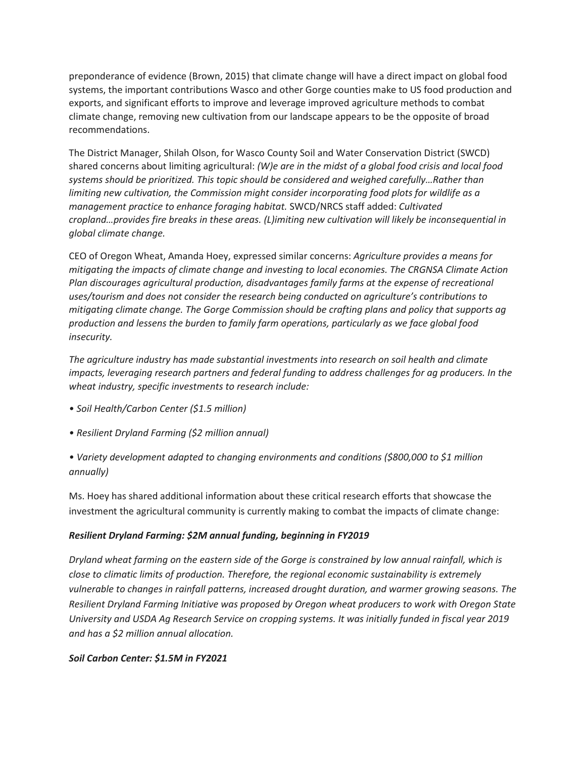preponderance of evidence (Brown, 2015) that climate change will have a direct impact on global food systems, the important contributions Wasco and other Gorge counties make to US food production and exports, and significant efforts to improve and leverage improved agriculture methods to combat climate change, removing new cultivation from our landscape appears to be the opposite of broad recommendations.

The District Manager, Shilah Olson, for Wasco County Soil and Water Conservation District (SWCD) shared concerns about limiting agricultural: *(W)e are in the midst of a global food crisis and local food systems should be prioritized. This topic should be considered and weighed carefully…Rather than limiting new cultivation, the Commission might consider incorporating food plots for wildlife as a management practice to enhance foraging habitat.* SWCD/NRCS staff added: *Cultivated cropland…provides fire breaks in these areas. (L)imiting new cultivation will likely be inconsequential in global climate change.*

CEO of Oregon Wheat, Amanda Hoey, expressed similar concerns: *Agriculture provides a means for mitigating the impacts of climate change and investing to local economies. The CRGNSA Climate Action Plan discourages agricultural production, disadvantages family farms at the expense of recreational uses/tourism and does not consider the research being conducted on agriculture's contributions to mitigating climate change. The Gorge Commission should be crafting plans and policy that supports ag production and lessens the burden to family farm operations, particularly as we face global food insecurity.*

*The agriculture industry has made substantial investments into research on soil health and climate impacts, leveraging research partners and federal funding to address challenges for ag producers. In the wheat industry, specific investments to research include:*

- *Soil Health/Carbon Center (\$1.5 million)*
- *Resilient Dryland Farming (\$2 million annual)*

*• Variety development adapted to changing environments and conditions (\$800,000 to \$1 million annually)*

Ms. Hoey has shared additional information about these critical research efforts that showcase the investment the agricultural community is currently making to combat the impacts of climate change:

## *Resilient Dryland Farming: \$2M annual funding, beginning in FY2019*

*Dryland wheat farming on the eastern side of the Gorge is constrained by low annual rainfall, which is close to climatic limits of production. Therefore, the regional economic sustainability is extremely vulnerable to changes in rainfall patterns, increased drought duration, and warmer growing seasons. The Resilient Dryland Farming Initiative was proposed by Oregon wheat producers to work with Oregon State University and USDA Ag Research Service on cropping systems. It was initially funded in fiscal year 2019 and has a \$2 million annual allocation.*

## *Soil Carbon Center: \$1.5M in FY2021*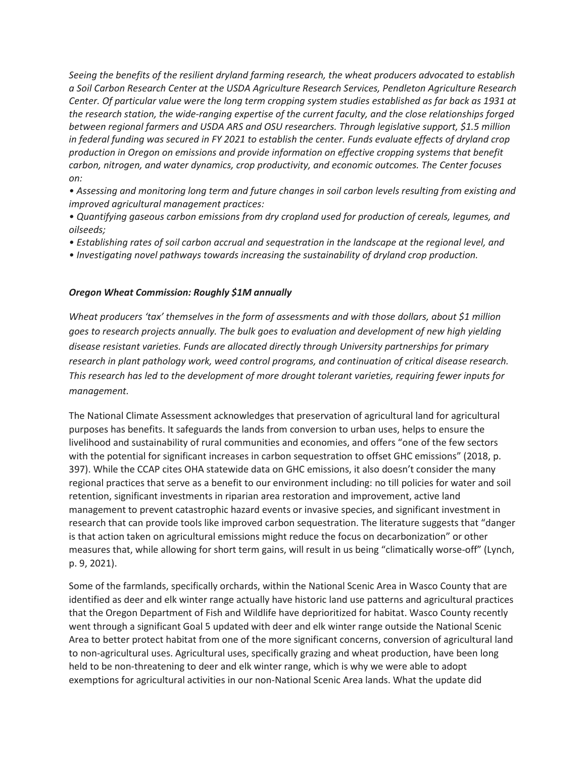*Seeing the benefits of the resilient dryland farming research, the wheat producers advocated to establish a Soil Carbon Research Center at the USDA Agriculture Research Services, Pendleton Agriculture Research Center. Of particular value were the long term cropping system studies established as far back as 1931 at the research station, the wide-ranging expertise of the current faculty, and the close relationships forged between regional farmers and USDA ARS and OSU researchers. Through legislative support, \$1.5 million in federal funding was secured in FY 2021 to establish the center. Funds evaluate effects of dryland crop production in Oregon on emissions and provide information on effective cropping systems that benefit carbon, nitrogen, and water dynamics, crop productivity, and economic outcomes. The Center focuses on:* 

*• Assessing and monitoring long term and future changes in soil carbon levels resulting from existing and improved agricultural management practices:* 

- *Quantifying gaseous carbon emissions from dry cropland used for production of cereals, legumes, and oilseeds;*
- *Establishing rates of soil carbon accrual and sequestration in the landscape at the regional level, and*
- *Investigating novel pathways towards increasing the sustainability of dryland crop production.*

#### *Oregon Wheat Commission: Roughly \$1M annually*

*Wheat producers 'tax' themselves in the form of assessments and with those dollars, about \$1 million goes to research projects annually. The bulk goes to evaluation and development of new high yielding disease resistant varieties. Funds are allocated directly through University partnerships for primary research in plant pathology work, weed control programs, and continuation of critical disease research. This research has led to the development of more drought tolerant varieties, requiring fewer inputs for management.*

The National Climate Assessment acknowledges that preservation of agricultural land for agricultural purposes has benefits. It safeguards the lands from conversion to urban uses, helps to ensure the livelihood and sustainability of rural communities and economies, and offers "one of the few sectors with the potential for significant increases in carbon sequestration to offset GHC emissions" (2018, p. 397). While the CCAP cites OHA statewide data on GHC emissions, it also doesn't consider the many regional practices that serve as a benefit to our environment including: no till policies for water and soil retention, significant investments in riparian area restoration and improvement, active land management to prevent catastrophic hazard events or invasive species, and significant investment in research that can provide tools like improved carbon sequestration. The literature suggests that "danger is that action taken on agricultural emissions might reduce the focus on decarbonization" or other measures that, while allowing for short term gains, will result in us being "climatically worse-off" (Lynch, p. 9, 2021).

Some of the farmlands, specifically orchards, within the National Scenic Area in Wasco County that are identified as deer and elk winter range actually have historic land use patterns and agricultural practices that the Oregon Department of Fish and Wildlife have deprioritized for habitat. Wasco County recently went through a significant Goal 5 updated with deer and elk winter range outside the National Scenic Area to better protect habitat from one of the more significant concerns, conversion of agricultural land to non-agricultural uses. Agricultural uses, specifically grazing and wheat production, have been long held to be non-threatening to deer and elk winter range, which is why we were able to adopt exemptions for agricultural activities in our non-National Scenic Area lands. What the update did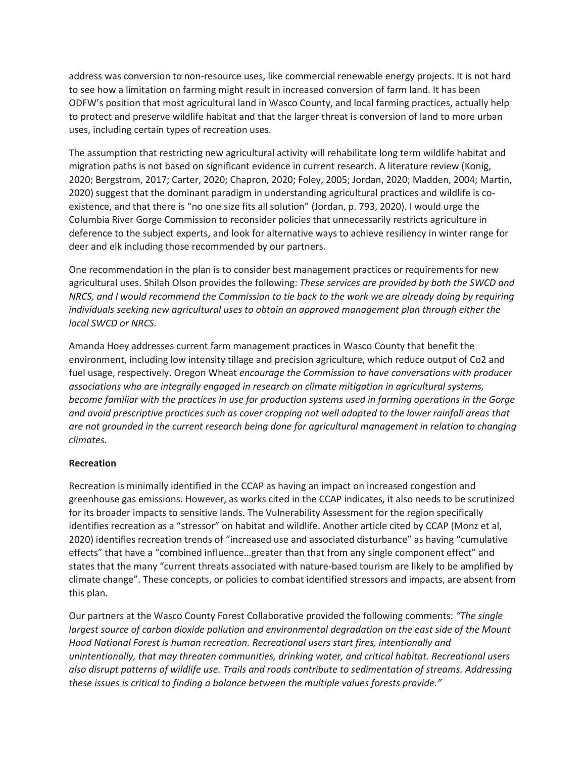address was conversion to non-resource uses, like commercial renewable energy projects. It is not hard to see how a limitation on farming might result in increased conversion of farm land. It has been ODFW's position that most agricultural land in Wasco County, and local farming practices, actually help to protect and preserve wildlife habitat and that the larger threat is conversion of land to more urban uses, including certain types of recreation uses.

The assumption that restricting new agricultural activity will rehabilitate long term wildlife habitat and migration paths is not based on significant evidence in current research. A literature review (Konig, 2020; Bergstrom, 2017; Carter, 2020; Chapron, 2020; Foley, 2005; Jordan, 2020; Madden, 2004; Martin, 2020) suggest that the dominant paradigm in understanding agricultural practices and wildlife is coexistence, and that there is "no one size fits all solution" (Jordan, p. 793, 2020). I would urge the Columbia River Gorge Commission to reconsider policies that unnecessarily restricts agriculture in deference to the subject experts, and look for alternative ways to achieve resiliency in winter range for deer and elk including those recommended by our partners.

One recommendation in the plan is to consider best management practices or requirements for new agricultural uses. Shilah Olson provides the following: *These services are provided by both the SWCD and NRCS, and I would recommend the Commission to tie back to the work we are already doing by requiring individuals seeking new agricultural uses to obtain an approved management plan through either the local SWCD or NRCS.*

Amanda Hoey addresses current farm management practices in Wasco County that benefit the environment, including low intensity tillage and precision agriculture, which reduce output of Co2 and fuel usage, respectively. Oregon Wheat *encourage the Commission to have conversations with producer associations who are integrally engaged in research on climate mitigation in agricultural systems, become familiar with the practices in use for production systems used in farming operations in the Gorge and avoid prescriptive practices such as cover cropping not well adapted to the lower rainfall areas that are not grounded in the current research being done for agricultural management in relation to changing climates.*

## **Recreation**

Recreation is minimally identified in the CCAP as having an impact on increased congestion and greenhouse gas emissions. However, as works cited in the CCAP indicates, it also needs to be scrutinized for its broader impacts to sensitive lands. The Vulnerability Assessment for the region specifically identifies recreation as a "stressor" on habitat and wildlife. Another article cited by CCAP (Monz et al, 2020) identifies recreation trends of "increased use and associated disturbance" as having "cumulative effects" that have a "combined influence…greater than that from any single component effect" and states that the many "current threats associated with nature-based tourism are likely to be amplified by climate change". These concepts, or policies to combat identified stressors and impacts, are absent from this plan.

Our partners at the Wasco County Forest Collaborative provided the following comments: *"The single largest source of carbon dioxide pollution and environmental degradation on the east side of the Mount Hood National Forest is human recreation. Recreational users start fires, intentionally and unintentionally, that may threaten communities, drinking water, and critical habitat. Recreational users also disrupt patterns of wildlife use. Trails and roads contribute to sedimentation of streams. Addressing these issues is critical to finding a balance between the multiple values forests provide."*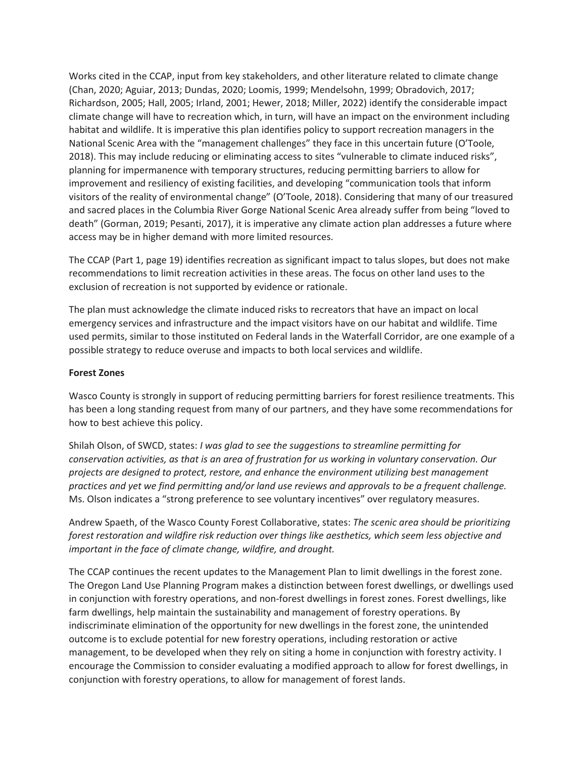Works cited in the CCAP, input from key stakeholders, and other literature related to climate change (Chan, 2020; Aguiar, 2013; Dundas, 2020; Loomis, 1999; Mendelsohn, 1999; Obradovich, 2017; Richardson, 2005; Hall, 2005; Irland, 2001; Hewer, 2018; Miller, 2022) identify the considerable impact climate change will have to recreation which, in turn, will have an impact on the environment including habitat and wildlife. It is imperative this plan identifies policy to support recreation managers in the National Scenic Area with the "management challenges" they face in this uncertain future (O'Toole, 2018). This may include reducing or eliminating access to sites "vulnerable to climate induced risks", planning for impermanence with temporary structures, reducing permitting barriers to allow for improvement and resiliency of existing facilities, and developing "communication tools that inform visitors of the reality of environmental change" (O'Toole, 2018). Considering that many of our treasured and sacred places in the Columbia River Gorge National Scenic Area already suffer from being "loved to death" (Gorman, 2019; Pesanti, 2017), it is imperative any climate action plan addresses a future where access may be in higher demand with more limited resources.

The CCAP (Part 1, page 19) identifies recreation as significant impact to talus slopes, but does not make recommendations to limit recreation activities in these areas. The focus on other land uses to the exclusion of recreation is not supported by evidence or rationale.

The plan must acknowledge the climate induced risks to recreators that have an impact on local emergency services and infrastructure and the impact visitors have on our habitat and wildlife. Time used permits, similar to those instituted on Federal lands in the Waterfall Corridor, are one example of a possible strategy to reduce overuse and impacts to both local services and wildlife.

#### **Forest Zones**

Wasco County is strongly in support of reducing permitting barriers for forest resilience treatments. This has been a long standing request from many of our partners, and they have some recommendations for how to best achieve this policy.

Shilah Olson, of SWCD, states: *I was glad to see the suggestions to streamline permitting for conservation activities, as that is an area of frustration for us working in voluntary conservation. Our projects are designed to protect, restore, and enhance the environment utilizing best management practices and yet we find permitting and/or land use reviews and approvals to be a frequent challenge.*  Ms. Olson indicates a "strong preference to see voluntary incentives" over regulatory measures.

Andrew Spaeth, of the Wasco County Forest Collaborative, states: *The scenic area should be prioritizing forest restoration and wildfire risk reduction over things like aesthetics, which seem less objective and important in the face of climate change, wildfire, and drought.*

The CCAP continues the recent updates to the Management Plan to limit dwellings in the forest zone. The Oregon Land Use Planning Program makes a distinction between forest dwellings, or dwellings used in conjunction with forestry operations, and non-forest dwellings in forest zones. Forest dwellings, like farm dwellings, help maintain the sustainability and management of forestry operations. By indiscriminate elimination of the opportunity for new dwellings in the forest zone, the unintended outcome is to exclude potential for new forestry operations, including restoration or active management, to be developed when they rely on siting a home in conjunction with forestry activity. I encourage the Commission to consider evaluating a modified approach to allow for forest dwellings, in conjunction with forestry operations, to allow for management of forest lands.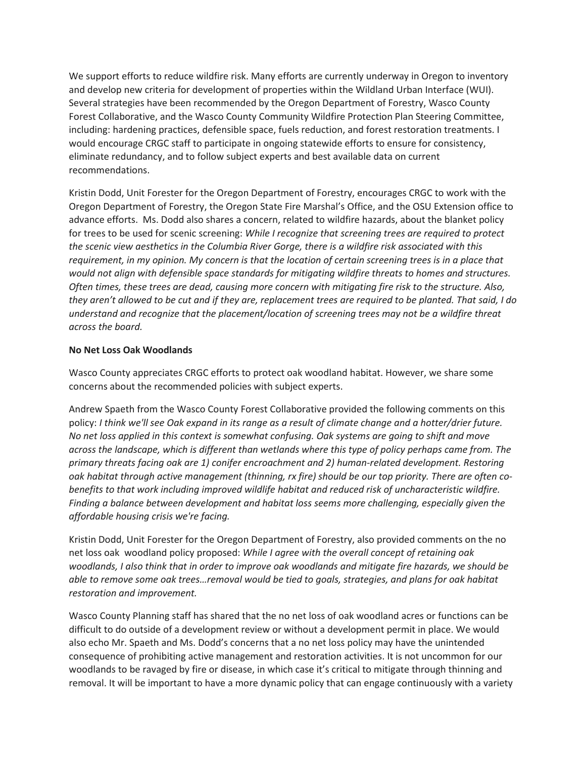We support efforts to reduce wildfire risk. Many efforts are currently underway in Oregon to inventory and develop new criteria for development of properties within the Wildland Urban Interface (WUI). Several strategies have been recommended by the Oregon Department of Forestry, Wasco County Forest Collaborative, and the Wasco County Community Wildfire Protection Plan Steering Committee, including: hardening practices, defensible space, fuels reduction, and forest restoration treatments. I would encourage CRGC staff to participate in ongoing statewide efforts to ensure for consistency, eliminate redundancy, and to follow subject experts and best available data on current recommendations.

Kristin Dodd, Unit Forester for the Oregon Department of Forestry, encourages CRGC to work with the Oregon Department of Forestry, the Oregon State Fire Marshal's Office, and the OSU Extension office to advance efforts. Ms. Dodd also shares a concern, related to wildfire hazards, about the blanket policy for trees to be used for scenic screening: *While I recognize that screening trees are required to protect the scenic view aesthetics in the Columbia River Gorge, there is a wildfire risk associated with this requirement, in my opinion. My concern is that the location of certain screening trees is in a place that would not align with defensible space standards for mitigating wildfire threats to homes and structures. Often times, these trees are dead, causing more concern with mitigating fire risk to the structure. Also, they aren't allowed to be cut and if they are, replacement trees are required to be planted. That said, I do understand and recognize that the placement/location of screening trees may not be a wildfire threat across the board.*

## **No Net Loss Oak Woodlands**

Wasco County appreciates CRGC efforts to protect oak woodland habitat. However, we share some concerns about the recommended policies with subject experts.

Andrew Spaeth from the Wasco County Forest Collaborative provided the following comments on this policy: *I think we'll see Oak expand in its range as a result of climate change and a hotter/drier future. No net loss applied in this context is somewhat confusing. Oak systems are going to shift and move across the landscape, which is different than wetlands where this type of policy perhaps came from. The primary threats facing oak are 1) conifer encroachment and 2) human-related development. Restoring oak habitat through active management (thinning, rx fire) should be our top priority. There are often cobenefits to that work including improved wildlife habitat and reduced risk of uncharacteristic wildfire. Finding a balance between development and habitat loss seems more challenging, especially given the affordable housing crisis we're facing.*

Kristin Dodd, Unit Forester for the Oregon Department of Forestry, also provided comments on the no net loss oak woodland policy proposed: *While I agree with the overall concept of retaining oak woodlands, I also think that in order to improve oak woodlands and mitigate fire hazards, we should be able to remove some oak trees…removal would be tied to goals, strategies, and plans for oak habitat restoration and improvement.*

Wasco County Planning staff has shared that the no net loss of oak woodland acres or functions can be difficult to do outside of a development review or without a development permit in place. We would also echo Mr. Spaeth and Ms. Dodd's concerns that a no net loss policy may have the unintended consequence of prohibiting active management and restoration activities. It is not uncommon for our woodlands to be ravaged by fire or disease, in which case it's critical to mitigate through thinning and removal. It will be important to have a more dynamic policy that can engage continuously with a variety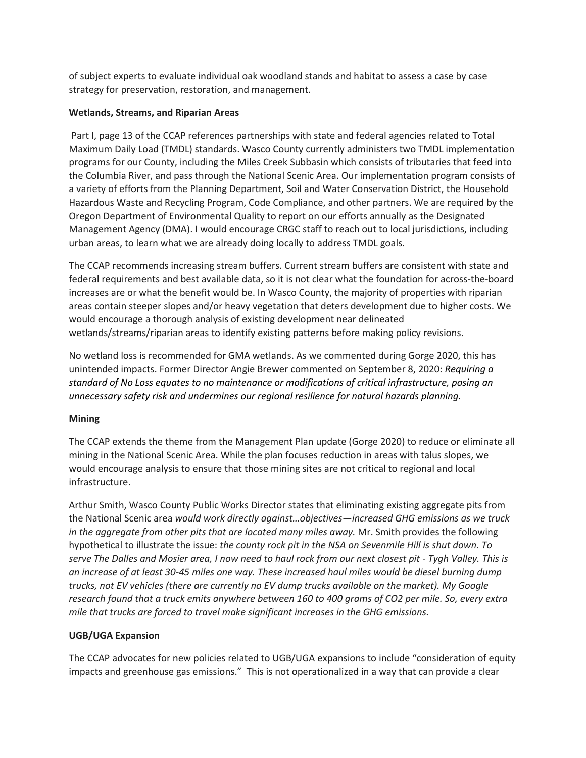of subject experts to evaluate individual oak woodland stands and habitat to assess a case by case strategy for preservation, restoration, and management.

## **Wetlands, Streams, and Riparian Areas**

Part I, page 13 of the CCAP references partnerships with state and federal agencies related to Total Maximum Daily Load (TMDL) standards. Wasco County currently administers two TMDL implementation programs for our County, including the Miles Creek Subbasin which consists of tributaries that feed into the Columbia River, and pass through the National Scenic Area. Our implementation program consists of a variety of efforts from the Planning Department, Soil and Water Conservation District, the Household Hazardous Waste and Recycling Program, Code Compliance, and other partners. We are required by the Oregon Department of Environmental Quality to report on our efforts annually as the Designated Management Agency (DMA). I would encourage CRGC staff to reach out to local jurisdictions, including urban areas, to learn what we are already doing locally to address TMDL goals.

The CCAP recommends increasing stream buffers. Current stream buffers are consistent with state and federal requirements and best available data, so it is not clear what the foundation for across-the-board increases are or what the benefit would be. In Wasco County, the majority of properties with riparian areas contain steeper slopes and/or heavy vegetation that deters development due to higher costs. We would encourage a thorough analysis of existing development near delineated wetlands/streams/riparian areas to identify existing patterns before making policy revisions.

No wetland loss is recommended for GMA wetlands. As we commented during Gorge 2020, this has unintended impacts. Former Director Angie Brewer commented on September 8, 2020: *Requiring a standard of No Loss equates to no maintenance or modifications of critical infrastructure, posing an unnecessary safety risk and undermines our regional resilience for natural hazards planning.*

## **Mining**

The CCAP extends the theme from the Management Plan update (Gorge 2020) to reduce or eliminate all mining in the National Scenic Area. While the plan focuses reduction in areas with talus slopes, we would encourage analysis to ensure that those mining sites are not critical to regional and local infrastructure.

Arthur Smith, Wasco County Public Works Director states that eliminating existing aggregate pits from the National Scenic area *would work directly against…objectives—increased GHG emissions as we truck in the aggregate from other pits that are located many miles away.* Mr. Smith provides the following hypothetical to illustrate the issue: *the county rock pit in the NSA on Sevenmile Hill is shut down. To serve The Dalles and Mosier area, I now need to haul rock from our next closest pit - Tygh Valley. This is an increase of at least 30-45 miles one way. These increased haul miles would be diesel burning dump trucks, not EV vehicles (there are currently no EV dump trucks available on the market). My Google research found that a truck emits anywhere between 160 to 400 grams of CO2 per mile. So, every extra mile that trucks are forced to travel make significant increases in the GHG emissions.*

## **UGB/UGA Expansion**

The CCAP advocates for new policies related to UGB/UGA expansions to include "consideration of equity impacts and greenhouse gas emissions." This is not operationalized in a way that can provide a clear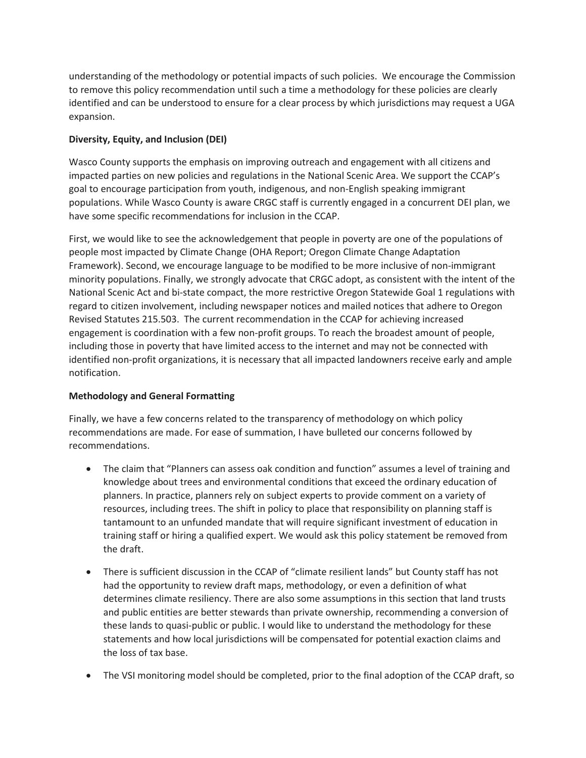understanding of the methodology or potential impacts of such policies. We encourage the Commission to remove this policy recommendation until such a time a methodology for these policies are clearly identified and can be understood to ensure for a clear process by which jurisdictions may request a UGA expansion.

## **Diversity, Equity, and Inclusion (DEI)**

Wasco County supports the emphasis on improving outreach and engagement with all citizens and impacted parties on new policies and regulations in the National Scenic Area. We support the CCAP's goal to encourage participation from youth, indigenous, and non-English speaking immigrant populations. While Wasco County is aware CRGC staff is currently engaged in a concurrent DEI plan, we have some specific recommendations for inclusion in the CCAP.

First, we would like to see the acknowledgement that people in poverty are one of the populations of people most impacted by Climate Change (OHA Report; Oregon Climate Change Adaptation Framework). Second, we encourage language to be modified to be more inclusive of non-immigrant minority populations. Finally, we strongly advocate that CRGC adopt, as consistent with the intent of the National Scenic Act and bi-state compact, the more restrictive Oregon Statewide Goal 1 regulations with regard to citizen involvement, including newspaper notices and mailed notices that adhere to Oregon Revised Statutes 215.503. The current recommendation in the CCAP for achieving increased engagement is coordination with a few non-profit groups. To reach the broadest amount of people, including those in poverty that have limited access to the internet and may not be connected with identified non-profit organizations, it is necessary that all impacted landowners receive early and ample notification.

## **Methodology and General Formatting**

Finally, we have a few concerns related to the transparency of methodology on which policy recommendations are made. For ease of summation, I have bulleted our concerns followed by recommendations.

- The claim that "Planners can assess oak condition and function" assumes a level of training and knowledge about trees and environmental conditions that exceed the ordinary education of planners. In practice, planners rely on subject experts to provide comment on a variety of resources, including trees. The shift in policy to place that responsibility on planning staff is tantamount to an unfunded mandate that will require significant investment of education in training staff or hiring a qualified expert. We would ask this policy statement be removed from the draft.
- There is sufficient discussion in the CCAP of "climate resilient lands" but County staff has not had the opportunity to review draft maps, methodology, or even a definition of what determines climate resiliency. There are also some assumptions in this section that land trusts and public entities are better stewards than private ownership, recommending a conversion of these lands to quasi-public or public. I would like to understand the methodology for these statements and how local jurisdictions will be compensated for potential exaction claims and the loss of tax base.
- The VSI monitoring model should be completed, prior to the final adoption of the CCAP draft, so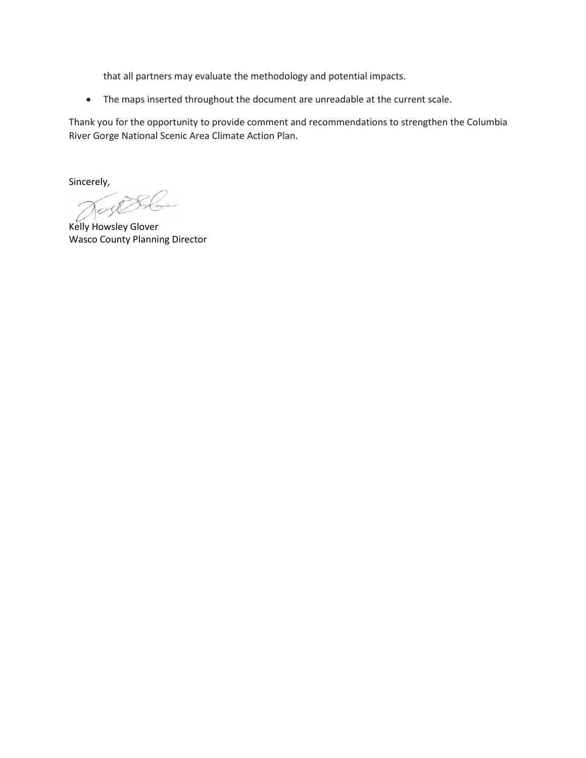that all partners may evaluate the methodology and potential impacts.

• The maps inserted throughout the document are unreadable at the current scale.

Thank you for the opportunity to provide comment and recommendations to strengthen the Columbia River Gorge National Scenic Area Climate Action Plan.

Sincerely,

Dunge S

Kelly Howsley Glover Wasco County Planning Director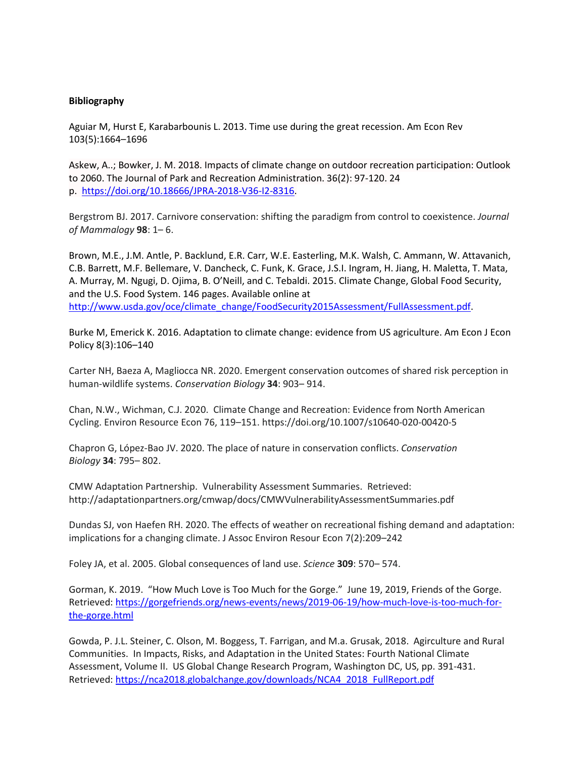#### **Bibliography**

Aguiar M, Hurst E, Karabarbounis L. 2013. Time use during the great recession. Am Econ Rev 103(5):1664–1696

Askew, A..; Bowker, J. M. 2018. Impacts of climate change on outdoor recreation participation: Outlook to 2060. The Journal of Park and Recreation Administration. 36(2): 97-120. 24 p. [https://doi.org/10.18666/JPRA-2018-V36-I2-8316.](https://doi.org/10.18666/JPRA-2018-V36-I2-8316)

Bergstrom BJ. 2017. Carnivore conservation: shifting the paradigm from control to coexistence. *Journal of Mammalogy* **98**: 1– 6.

Brown, M.E., J.M. Antle, P. Backlund, E.R. Carr, W.E. Easterling, M.K. Walsh, C. Ammann, W. Attavanich, C.B. Barrett, M.F. Bellemare, V. Dancheck, C. Funk, K. Grace, J.S.I. Ingram, H. Jiang, H. Maletta, T. Mata, A. Murray, M. Ngugi, D. Ojima, B. O'Neill, and C. Tebaldi. 2015. Climate Change, Global Food Security, and the U.S. Food System. 146 pages. Available online at [http://www.usda.gov/oce/climate\\_change/FoodSecurity2015Assessment/FullAssessment.pdf.](http://www.usda.gov/oce/climate_change/FoodSecurity2015Assessment/FullAssessment.pdf)

Burke M, Emerick K. 2016. Adaptation to climate change: evidence from US agriculture. Am Econ J Econ Policy 8(3):106–140

Carter NH, Baeza A, Magliocca NR. 2020. Emergent conservation outcomes of shared risk perception in human-wildlife systems. *Conservation Biology* **34**: 903– 914.

Chan, N.W., Wichman, C.J. 2020. Climate Change and Recreation: Evidence from North American Cycling. Environ Resource Econ 76, 119–151. https://doi.org/10.1007/s10640-020-00420-5

Chapron G, López-Bao JV. 2020. The place of nature in conservation conflicts. *Conservation Biology* **34**: 795– 802.

CMW Adaptation Partnership. Vulnerability Assessment Summaries. Retrieved: http://adaptationpartners.org/cmwap/docs/CMWVulnerabilityAssessmentSummaries.pdf

Dundas SJ, von Haefen RH. 2020. The effects of weather on recreational fishing demand and adaptation: implications for a changing climate. J Assoc Environ Resour Econ 7(2):209–242

Foley JA, et al. 2005. Global consequences of land use. *Science* **309**: 570– 574.

Gorman, K. 2019. "How Much Love is Too Much for the Gorge." June 19, 2019, Friends of the Gorge. Retrieved[: https://gorgefriends.org/news-events/news/2019-06-19/how-much-love-is-too-much-for](https://gorgefriends.org/news-events/news/2019-06-19/how-much-love-is-too-much-for-the-gorge.html)[the-gorge.html](https://gorgefriends.org/news-events/news/2019-06-19/how-much-love-is-too-much-for-the-gorge.html)

Gowda, P. J.L. Steiner, C. Olson, M. Boggess, T. Farrigan, and M.a. Grusak, 2018. Agirculture and Rural Communities. In Impacts, Risks, and Adaptation in the United States: Fourth National Climate Assessment, Volume II. US Global Change Research Program, Washington DC, US, pp. 391-431. Retrieved: [https://nca2018.globalchange.gov/downloads/NCA4\\_2018\\_FullReport.pdf](https://nca2018.globalchange.gov/downloads/NCA4_2018_FullReport.pdf)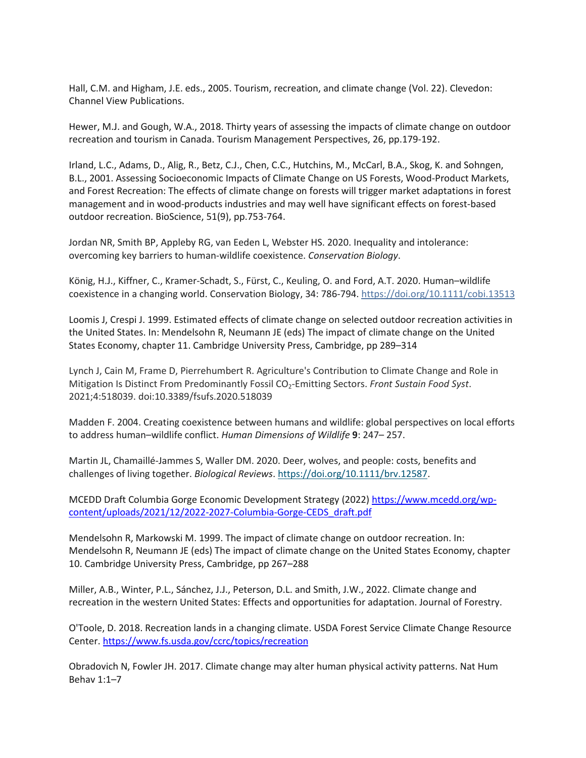Hall, C.M. and Higham, J.E. eds., 2005. Tourism, recreation, and climate change (Vol. 22). Clevedon: Channel View Publications.

Hewer, M.J. and Gough, W.A., 2018. Thirty years of assessing the impacts of climate change on outdoor recreation and tourism in Canada. Tourism Management Perspectives, 26, pp.179-192.

Irland, L.C., Adams, D., Alig, R., Betz, C.J., Chen, C.C., Hutchins, M., McCarl, B.A., Skog, K. and Sohngen, B.L., 2001. Assessing Socioeconomic Impacts of Climate Change on US Forests, Wood-Product Markets, and Forest Recreation: The effects of climate change on forests will trigger market adaptations in forest management and in wood-products industries and may well have significant effects on forest-based outdoor recreation. BioScience, 51(9), pp.753-764.

Jordan NR, Smith BP, Appleby RG, van Eeden L, Webster HS. 2020. Inequality and intolerance: overcoming key barriers to human-wildlife coexistence. *Conservation Biology*.

König, H.J., Kiffner, C., Kramer-Schadt, S., Fürst, C., Keuling, O. and Ford, A.T. 2020. Human–wildlife coexistence in a changing world. Conservation Biology, 34: 786-794. <https://doi.org/10.1111/cobi.13513>

Loomis J, Crespi J. 1999. Estimated effects of climate change on selected outdoor recreation activities in the United States. In: Mendelsohn R, Neumann JE (eds) The impact of climate change on the United States Economy, chapter 11. Cambridge University Press, Cambridge, pp 289–314

Lynch J, Cain M, Frame D, Pierrehumbert R. Agriculture's Contribution to Climate Change and Role in Mitigation Is Distinct From Predominantly Fossil CO<sub>2</sub>-Emitting Sectors. *Front Sustain Food Syst*. 2021;4:518039. doi:10.3389/fsufs.2020.518039

Madden F. 2004. Creating coexistence between humans and wildlife: global perspectives on local efforts to address human–wildlife conflict. *Human Dimensions of Wildlife* **9**: 247– 257.

Martin JL, Chamaillé-Jammes S, Waller DM. 2020. Deer, wolves, and people: costs, benefits and challenges of living together. *Biological Reviews*. [https://doi.org/10.1111/brv.12587.](https://doi.org/10.1111/brv.12587)

MCEDD Draft Columbia Gorge Economic Development Strategy (2022[\) https://www.mcedd.org/wp](https://www.mcedd.org/wp-content/uploads/2021/12/2022-2027-Columbia-Gorge-CEDS_draft.pdf)[content/uploads/2021/12/2022-2027-Columbia-Gorge-CEDS\\_draft.pdf](https://www.mcedd.org/wp-content/uploads/2021/12/2022-2027-Columbia-Gorge-CEDS_draft.pdf)

Mendelsohn R, Markowski M. 1999. The impact of climate change on outdoor recreation. In: Mendelsohn R, Neumann JE (eds) The impact of climate change on the United States Economy, chapter 10. Cambridge University Press, Cambridge, pp 267–288

Miller, A.B., Winter, P.L., Sánchez, J.J., Peterson, D.L. and Smith, J.W., 2022. Climate change and recreation in the western United States: Effects and opportunities for adaptation. Journal of Forestry.

O'Toole, D. 2018. Recreation lands in a changing climate. USDA Forest Service Climate Change Resource Center[. https://www.fs.usda.gov/ccrc/topics/recreation](https://www.fs.usda.gov/ccrc/topics/recreation)

Obradovich N, Fowler JH. 2017. Climate change may alter human physical activity patterns. Nat Hum Behav 1:1–7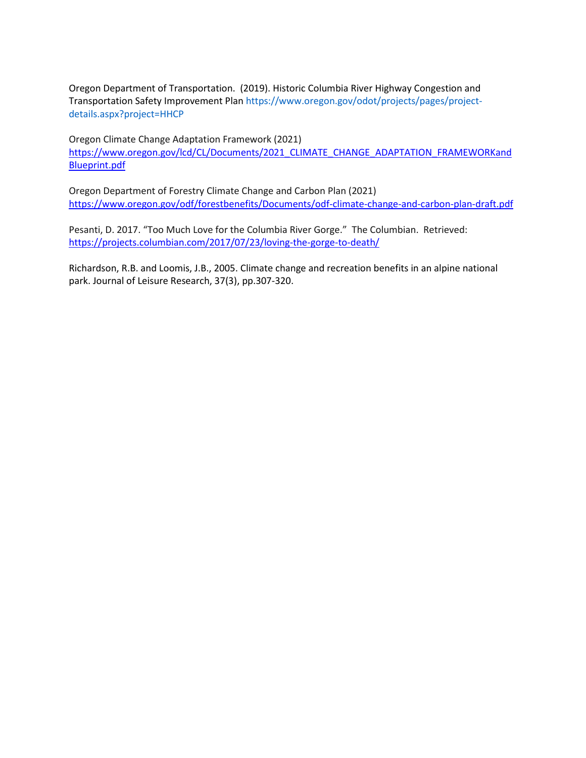Oregon Department of Transportation. (2019). Historic Columbia River Highway Congestion and Transportation Safety Improvement Plan https://www.oregon.gov/odot/projects/pages/projectdetails.aspx?project=HHCP

Oregon Climate Change Adaptation Framework (2021) [https://www.oregon.gov/lcd/CL/Documents/2021\\_CLIMATE\\_CHANGE\\_ADAPTATION\\_FRAMEWORKand](https://www.oregon.gov/lcd/CL/Documents/2021_CLIMATE_CHANGE_ADAPTATION_FRAMEWORKandBlueprint.pdf) [Blueprint.pdf](https://www.oregon.gov/lcd/CL/Documents/2021_CLIMATE_CHANGE_ADAPTATION_FRAMEWORKandBlueprint.pdf)

Oregon Department of Forestry Climate Change and Carbon Plan (2021) <https://www.oregon.gov/odf/forestbenefits/Documents/odf-climate-change-and-carbon-plan-draft.pdf>

Pesanti, D. 2017. "Too Much Love for the Columbia River Gorge." The Columbian. Retrieved: <https://projects.columbian.com/2017/07/23/loving-the-gorge-to-death/>

Richardson, R.B. and Loomis, J.B., 2005. Climate change and recreation benefits in an alpine national park. Journal of Leisure Research, 37(3), pp.307-320.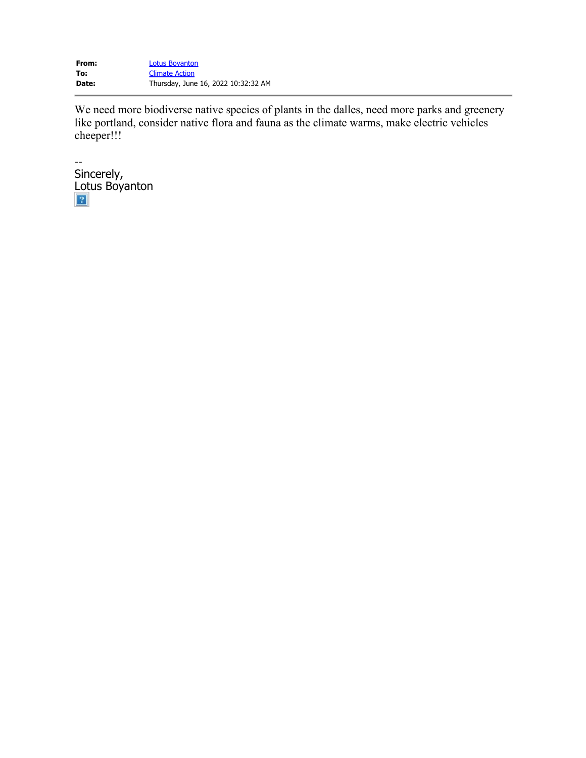<span id="page-19-0"></span>**From:** [Lotus Boyanton](mailto:23lotus.boyanton@nwasco.k12.or.us) **To:** [Climate Action](mailto:climateaction@gorgecommission.org) **Date:** Thursday, June 16, 2022 10:32:32 AM

We need more biodiverse native species of plants in the dalles, need more parks and greenery like portland, consider native flora and fauna as the climate warms, make electric vehicles cheeper!!!

-- Sincerely, Lotus Boyanton $\lceil 2 \rceil$